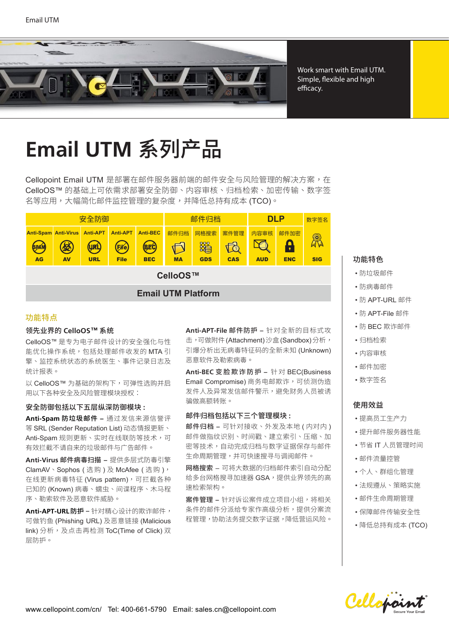

Work smart with Email UTM. Simple, flexible and high efficacy.

# **Email UTM 系列产品**

Cellopoint Email UTM 是部署在邮件服务器前端的邮件安全与风险管理的解决方案,在 CelloOS™ 的基础上可依需求部署安全防御、内容审核、归档检索、加密传输、数字签 名等应用,大幅简化邮件监控管理的复杂度,并降低总持有成本 (TCO)。

|                           |                                               | 安全防御                                   |                                          |                                        | 邮件归档              |                         |                    | <b>DLP</b>         |                    | 数字签名            |
|---------------------------|-----------------------------------------------|----------------------------------------|------------------------------------------|----------------------------------------|-------------------|-------------------------|--------------------|--------------------|--------------------|-----------------|
| <b>SPAM</b><br><b>AG</b>  | <b>Anti-Spam Anti-Virus</b><br>经<br><b>AV</b> | <b>Anti-APT</b><br>(URL)<br><b>URL</b> | <b>Anti-APT</b><br>(File)<br><b>File</b> | <b>Anti-BEC</b><br>(BEC)<br><b>BEC</b> | 邮件归档<br><b>MA</b> | 网格搜索<br>躍<br><b>GDS</b> | 案件管理<br><b>CAS</b> | 内容审核<br><b>AUD</b> | 邮件加密<br><b>ENC</b> | R<br><b>SIG</b> |
| CelloOS™                  |                                               |                                        |                                          |                                        |                   |                         |                    |                    |                    |                 |
| <b>Email UTM Platform</b> |                                               |                                        |                                          |                                        |                   |                         |                    |                    |                    |                 |

# 功能特点

# 곭⯓⚌歲涸 **CelloOS™** 禺絡

CelloOS™ 是专为电子邮件设计的安全强化与性 能优化操作系统,包括处理邮件收发的MTA 引 擎、监控系统状态的系统医生、事件记录日志及 统计报表。

以 CelloOS™ 为基础的架构下,可弹性选购并启 用以下各种安全及风险管理模块授权:

### 安全防御包括以下五层纵深防御模块:

Anti-Spam 防垃圾邮件 - 通过发信来源信誉评 等 SRL (Sender Reputation List) 动态情报更新、 Anti-Spam 规则更新、实时在线联防等技术,可 有效拦截不请自来的垃圾邮件与广告邮件。

Anti-Virus 邮件病毒扫描 - 提供多层式防毒引擎 ClamAV、Sophos (选购)及McAfee (选购), 在线更新病毒特征 (Virus pattern), 可拦截各种 已知的 (Known) 病毒、蠕虫、间谍程序、木马程 序、勒索软件及恶意软件威胁。

Anti-APT-URL防护 - 针对精心设计的欺诈邮件, 可做钓鱼 (Phishing URL) 及恶意链接 (Malicious link) 分析, 及点击再检测 ToC(Time of Click) 双 层防护。

Anti-APT-File 邮件防护 - 针对全新的目标式攻 击,可做附件(Attachment)沙盒(Sandbox)分析, 引爆分析出无病毒特征码的全新未知 (Unknown) 恶意软件及勒索病毒。

**Anti-BEC 变脸欺诈防护 –** 针对 BEC(Business Email Compromise) 商务电邮欺诈,可侦测伪浩 发件人及异常发信邮件警示,避免财务人员被诱 骗做高额转账。

# 邮件归档包括以下三个管理模块:

邮件归档 - 可针对接收、外发及本地(内对内) 邮件做指纹识别、时间戳、建立索引、压缩、加 密等技术,自动完成归档与数字证据保存与邮件 生命周期管理,并可快速搜寻与调阅邮件。

网格搜索 – 可将大数据的归档邮件索引自动分配 给多台网格搜寻加速器 GSA, 提供业界领先的高 速检索架构。

案件管理 – 针对诉讼案件成立项目小组,将相关 条件的邮件分派给专家作高级分析,提供分案流 程管理,协助法务提交数字证据,降低营运风险。

# 功能特色

- 防垃圾邮件
- 防病毒邮件
- 防 APT-URL 邮件
- 防 APT-File 邮件
- 防 BEC 欺诈邮件
- 归档检索
- 内容宙核
- 邮件加密
- 数字签名

# 使用效益

- 提高员工生产力
- 提升邮件服务器性能
- 节省 IT 人员管理时间
- 邮件流量控管
- 个人、群组化管理
- 法规撙从、策略实施
- 邮件生命周期管理
- 保障邮件传输安全性
- 降低总持有成本 (TCO)